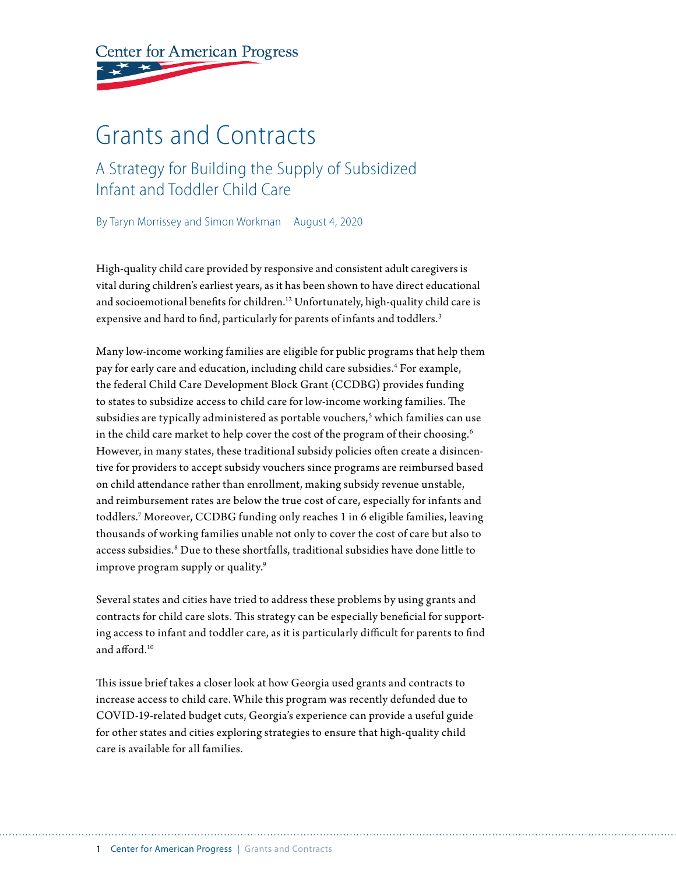**Center for American Progress** 

# Grants and Contracts

### A Strategy for Building the Supply of Subsidized Infant and Toddler Child Care

By Taryn Morrissey and Simon Workman August 4, 2020

High-quality child care provided by responsive and consistent adult caregivers is vital during children's earliest years, as it has been shown to have direct educational and socioemotional benefits for children.<sup>12</sup> Unfortunately, high-quality child care is expensive and hard to find, particularly for parents of infants and toddlers.<sup>3</sup>

Many low-income working families are eligible for public programs that help them pay for early care and education, including child care subsidies.4 For example, the federal Child Care Development Block Grant (CCDBG) provides funding to states to subsidize access to child care for low-income working families. The subsidies are typically administered as portable vouchers,<sup>s</sup> which families can use in the child care market to help cover the cost of the program of their choosing.<sup>6</sup> However, in many states, these traditional subsidy policies often create a disincentive for providers to accept subsidy vouchers since programs are reimbursed based on child attendance rather than enrollment, making subsidy revenue unstable, and reimbursement rates are below the true cost of care, especially for infants and toddlers.7 Moreover, CCDBG funding only reaches 1 in 6 eligible families, leaving thousands of working families unable not only to cover the cost of care but also to access subsidies.8 Due to these shortfalls, traditional subsidies have done little to improve program supply or quality.<sup>9</sup>

Several states and cities have tried to address these problems by using grants and contracts for child care slots. This strategy can be especially beneficial for supporting access to infant and toddler care, as it is particularly difficult for parents to find and afford.10

This issue brief takes a closer look at how Georgia used grants and contracts to increase access to child care. While this program was recently defunded due to COVID-19-related budget cuts, Georgia's experience can provide a useful guide for other states and cities exploring strategies to ensure that high-quality child care is available for all families.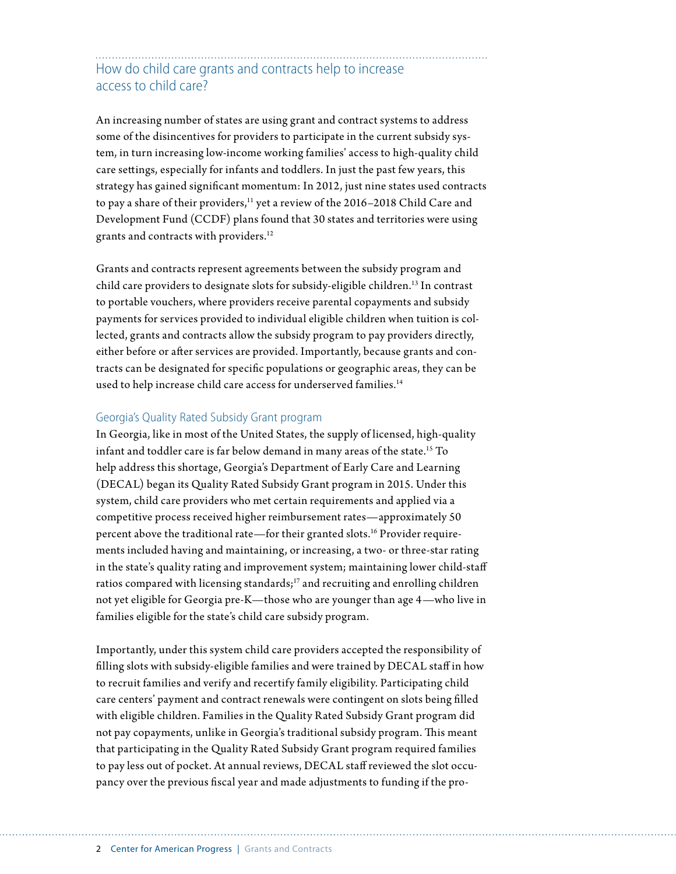### How do child care grants and contracts help to increase access to child care?

An increasing number of states are using grant and contract systems to address some of the disincentives for providers to participate in the current subsidy system, in turn increasing low-income working families' access to high-quality child care settings, especially for infants and toddlers. In just the past few years, this strategy has gained significant momentum: In 2012, just nine states used contracts to pay a share of their providers,<sup>11</sup> yet a review of the 2016–2018 Child Care and Development Fund (CCDF) plans found that 30 states and territories were using grants and contracts with providers.12

Grants and contracts represent agreements between the subsidy program and child care providers to designate slots for subsidy-eligible children.<sup>13</sup> In contrast to portable vouchers, where providers receive parental copayments and subsidy payments for services provided to individual eligible children when tuition is collected, grants and contracts allow the subsidy program to pay providers directly, either before or after services are provided. Importantly, because grants and contracts can be designated for specific populations or geographic areas, they can be used to help increase child care access for underserved families.<sup>14</sup>

#### Georgia's Quality Rated Subsidy Grant program

In Georgia, like in most of the United States, the supply of licensed, high-quality infant and toddler care is far below demand in many areas of the state.<sup>15</sup> To help address this shortage, Georgia's Department of Early Care and Learning (DECAL) began its Quality Rated Subsidy Grant program in 2015. Under this system, child care providers who met certain requirements and applied via a competitive process received higher reimbursement rates—approximately 50 percent above the traditional rate—for their granted slots.16 Provider requirements included having and maintaining, or increasing, a two- or three-star rating in the state's quality rating and improvement system; maintaining lower child-staff ratios compared with licensing standards;<sup>17</sup> and recruiting and enrolling children not yet eligible for Georgia pre-K—those who are younger than age 4—who live in families eligible for the state's child care subsidy program.

Importantly, under this system child care providers accepted the responsibility of filling slots with subsidy-eligible families and were trained by DECAL staff in how to recruit families and verify and recertify family eligibility. Participating child care centers' payment and contract renewals were contingent on slots being filled with eligible children. Families in the Quality Rated Subsidy Grant program did not pay copayments, unlike in Georgia's traditional subsidy program. This meant that participating in the Quality Rated Subsidy Grant program required families to pay less out of pocket. At annual reviews, DECAL staff reviewed the slot occupancy over the previous fiscal year and made adjustments to funding if the pro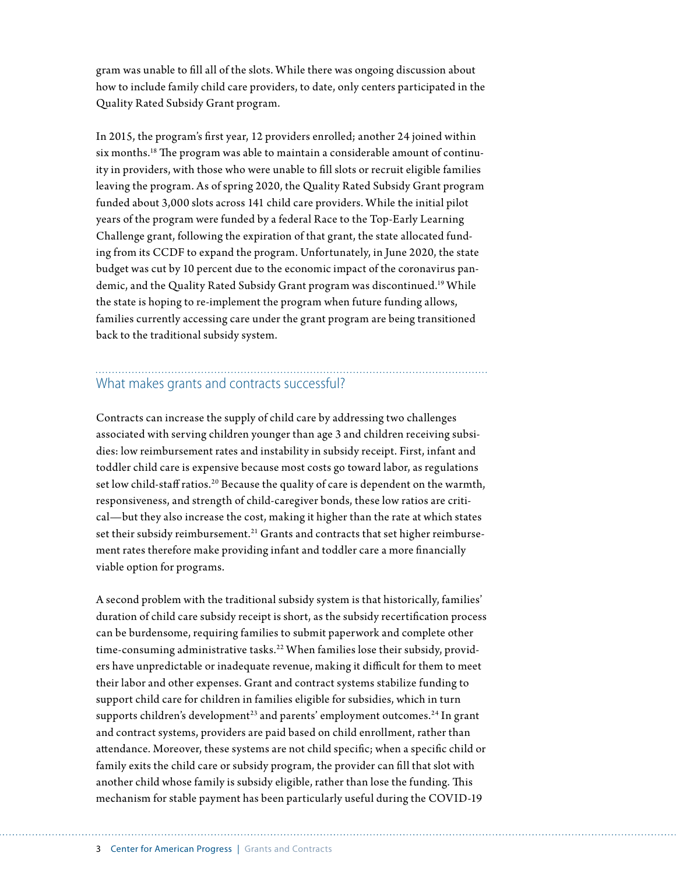gram was unable to fill all of the slots. While there was ongoing discussion about how to include family child care providers, to date, only centers participated in the Quality Rated Subsidy Grant program.

In 2015, the program's first year, 12 providers enrolled; another 24 joined within six months.18 The program was able to maintain a considerable amount of continuity in providers, with those who were unable to fill slots or recruit eligible families leaving the program. As of spring 2020, the Quality Rated Subsidy Grant program funded about 3,000 slots across 141 child care providers. While the initial pilot years of the program were funded by a federal Race to the Top-Early Learning Challenge grant, following the expiration of that grant, the state allocated funding from its CCDF to expand the program. Unfortunately, in June 2020, the state budget was cut by 10 percent due to the economic impact of the coronavirus pandemic, and the Quality Rated Subsidy Grant program was discontinued.<sup>19</sup> While the state is hoping to re-implement the program when future funding allows, families currently accessing care under the grant program are being transitioned back to the traditional subsidy system.

## What makes grants and contracts successful?

Contracts can increase the supply of child care by addressing two challenges associated with serving children younger than age 3 and children receiving subsidies: low reimbursement rates and instability in subsidy receipt. First, infant and toddler child care is expensive because most costs go toward labor, as regulations set low child-staff ratios.20 Because the quality of care is dependent on the warmth, responsiveness, and strength of child-caregiver bonds, these low ratios are critical—but they also increase the cost, making it higher than the rate at which states set their subsidy reimbursement.<sup>21</sup> Grants and contracts that set higher reimbursement rates therefore make providing infant and toddler care a more financially viable option for programs.

A second problem with the traditional subsidy system is that historically, families' duration of child care subsidy receipt is short, as the subsidy recertification process can be burdensome, requiring families to submit paperwork and complete other time-consuming administrative tasks.<sup>22</sup> When families lose their subsidy, providers have unpredictable or inadequate revenue, making it difficult for them to meet their labor and other expenses. Grant and contract systems stabilize funding to support child care for children in families eligible for subsidies, which in turn supports children's development<sup>23</sup> and parents' employment outcomes.<sup>24</sup> In grant and contract systems, providers are paid based on child enrollment, rather than attendance. Moreover, these systems are not child specific; when a specific child or family exits the child care or subsidy program, the provider can fill that slot with another child whose family is subsidy eligible, rather than lose the funding. This mechanism for stable payment has been particularly useful during the COVID-19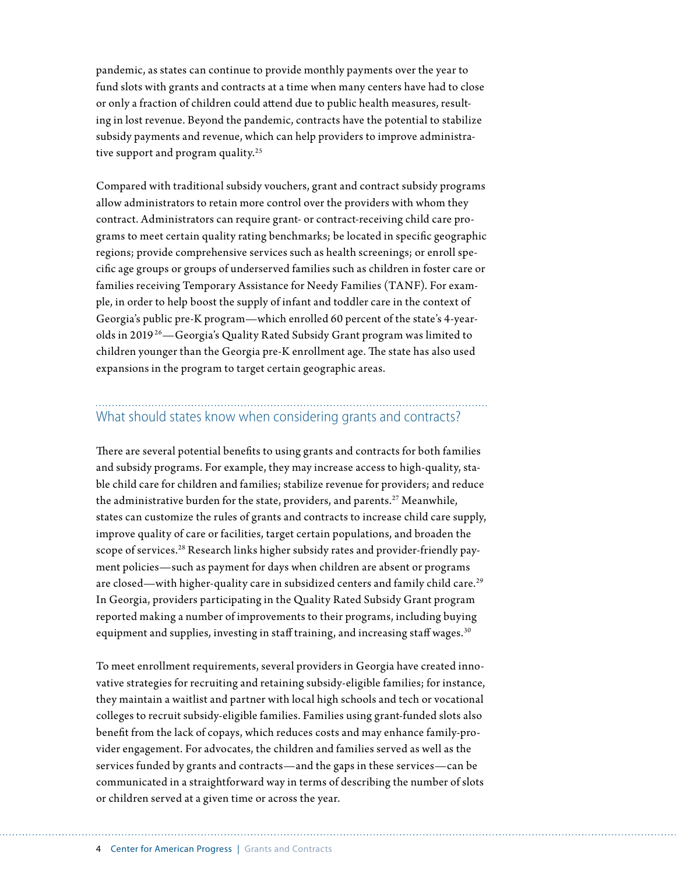pandemic, as states can continue to provide monthly payments over the year to fund slots with grants and contracts at a time when many centers have had to close or only a fraction of children could attend due to public health measures, resulting in lost revenue. Beyond the pandemic, contracts have the potential to stabilize subsidy payments and revenue, which can help providers to improve administrative support and program quality.<sup>25</sup>

Compared with traditional subsidy vouchers, grant and contract subsidy programs allow administrators to retain more control over the providers with whom they contract. Administrators can require grant- or contract-receiving child care programs to meet certain quality rating benchmarks; be located in specific geographic regions; provide comprehensive services such as health screenings; or enroll specific age groups or groups of underserved families such as children in foster care or families receiving Temporary Assistance for Needy Families (TANF). For example, in order to help boost the supply of infant and toddler care in the context of Georgia's public pre-K program—which enrolled 60 percent of the state's 4-yearolds in 2019 26—Georgia's Quality Rated Subsidy Grant program was limited to children younger than the Georgia pre-K enrollment age. The state has also used expansions in the program to target certain geographic areas.

### What should states know when considering grants and contracts?

There are several potential benefits to using grants and contracts for both families and subsidy programs. For example, they may increase access to high-quality, stable child care for children and families; stabilize revenue for providers; and reduce the administrative burden for the state, providers, and parents.<sup>27</sup> Meanwhile, states can customize the rules of grants and contracts to increase child care supply, improve quality of care or facilities, target certain populations, and broaden the scope of services.<sup>28</sup> Research links higher subsidy rates and provider-friendly payment policies—such as payment for days when children are absent or programs are closed—with higher-quality care in subsidized centers and family child care.<sup>29</sup> In Georgia, providers participating in the Quality Rated Subsidy Grant program reported making a number of improvements to their programs, including buying equipment and supplies, investing in staff training, and increasing staff wages. $30$ 

To meet enrollment requirements, several providers in Georgia have created innovative strategies for recruiting and retaining subsidy-eligible families; for instance, they maintain a waitlist and partner with local high schools and tech or vocational colleges to recruit subsidy-eligible families. Families using grant-funded slots also benefit from the lack of copays, which reduces costs and may enhance family-provider engagement. For advocates, the children and families served as well as the services funded by grants and contracts—and the gaps in these services—can be communicated in a straightforward way in terms of describing the number of slots or children served at a given time or across the year.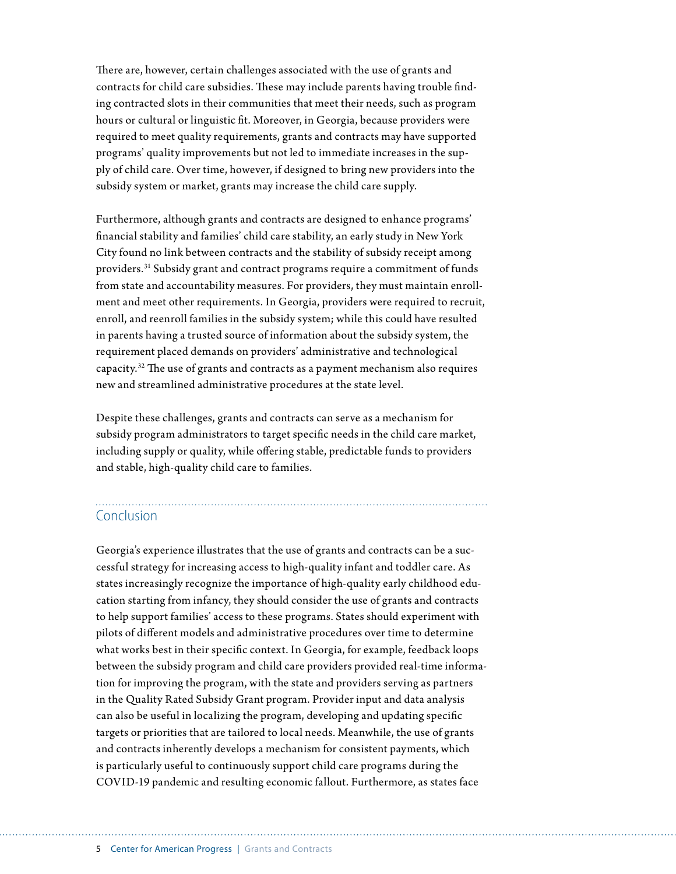There are, however, certain challenges associated with the use of grants and contracts for child care subsidies. These may include parents having trouble finding contracted slots in their communities that meet their needs, such as program hours or cultural or linguistic fit. Moreover, in Georgia, because providers were required to meet quality requirements, grants and contracts may have supported programs' quality improvements but not led to immediate increases in the supply of child care. Over time, however, if designed to bring new providers into the subsidy system or market, grants may increase the child care supply.

Furthermore, although grants and contracts are designed to enhance programs' financial stability and families' child care stability, an early study in New York City found no link between contracts and the stability of subsidy receipt among providers.31 Subsidy grant and contract programs require a commitment of funds from state and accountability measures. For providers, they must maintain enrollment and meet other requirements. In Georgia, providers were required to recruit, enroll, and reenroll families in the subsidy system; while this could have resulted in parents having a trusted source of information about the subsidy system, the requirement placed demands on providers' administrative and technological capacity.32 The use of grants and contracts as a payment mechanism also requires new and streamlined administrative procedures at the state level.

Despite these challenges, grants and contracts can serve as a mechanism for subsidy program administrators to target specific needs in the child care market, including supply or quality, while offering stable, predictable funds to providers and stable, high-quality child care to families.

### Conclusion

Georgia's experience illustrates that the use of grants and contracts can be a successful strategy for increasing access to high-quality infant and toddler care. As states increasingly recognize the importance of high-quality early childhood education starting from infancy, they should consider the use of grants and contracts to help support families' access to these programs. States should experiment with pilots of different models and administrative procedures over time to determine what works best in their specific context. In Georgia, for example, feedback loops between the subsidy program and child care providers provided real-time information for improving the program, with the state and providers serving as partners in the Quality Rated Subsidy Grant program. Provider input and data analysis can also be useful in localizing the program, developing and updating specific targets or priorities that are tailored to local needs. Meanwhile, the use of grants and contracts inherently develops a mechanism for consistent payments, which is particularly useful to continuously support child care programs during the COVID-19 pandemic and resulting economic fallout. Furthermore, as states face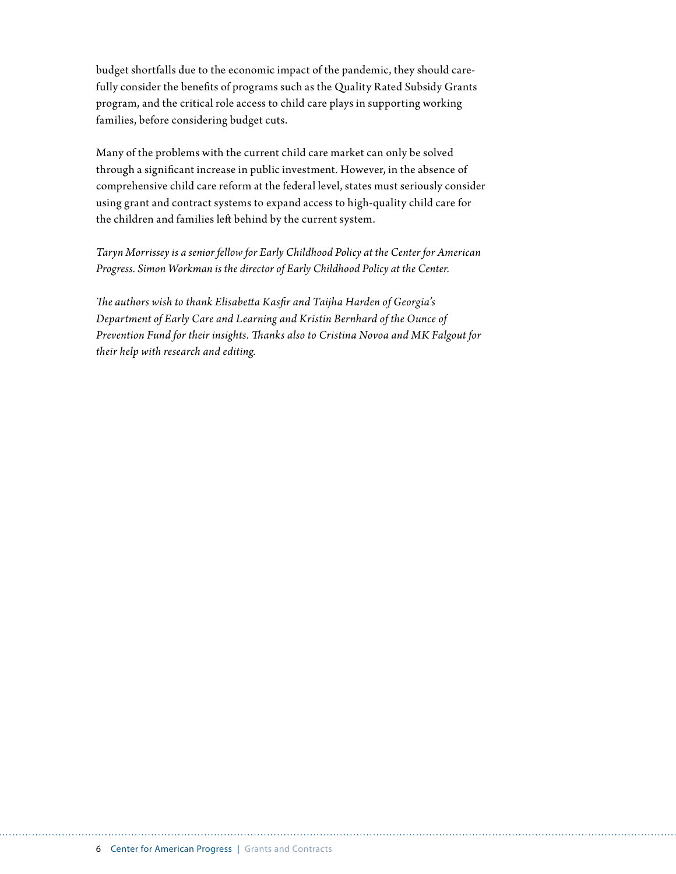budget shortfalls due to the economic impact of the pandemic, they should carefully consider the benefits of programs such as the Quality Rated Subsidy Grants program, and the critical role access to child care plays in supporting working families, before considering budget cuts.

Many of the problems with the current child care market can only be solved through a significant increase in public investment. However, in the absence of comprehensive child care reform at the federal level, states must seriously consider using grant and contract systems to expand access to high-quality child care for the children and families left behind by the current system.

*Taryn Morrissey is a senior fellow for Early Childhood Policy at the Center for American Progress. Simon Workman is the director of Early Childhood Policy at the Center.*

*The authors wish to thank Elisabetta Kasfir and Taijha Harden of Georgia's Department of Early Care and Learning and Kristin Bernhard of the Ounce of Prevention Fund for their insights. Thanks also to Cristina Novoa and MK Falgout for their help with research and editing.*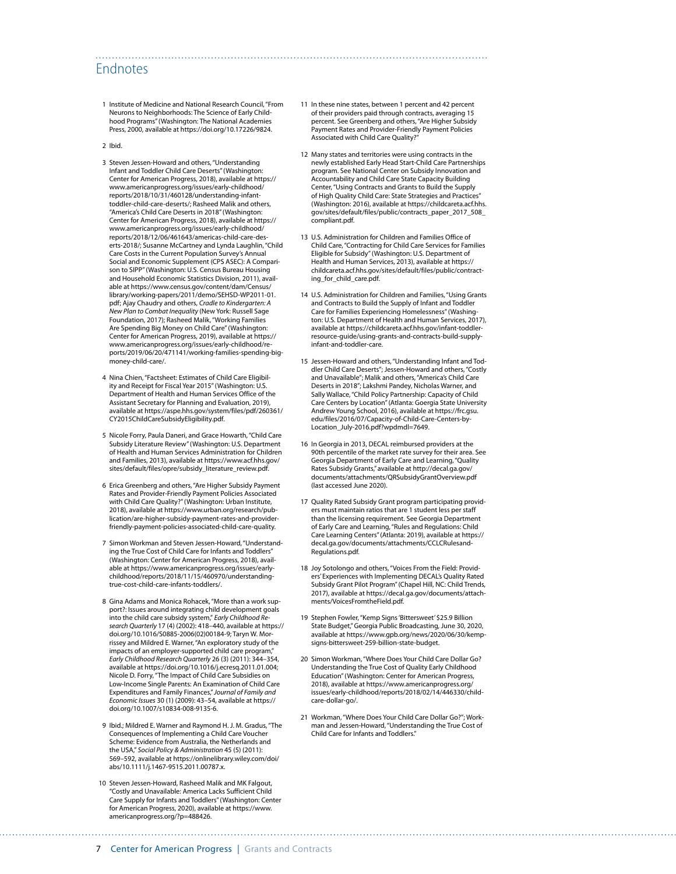#### Endnotes

1 Institute of Medicine and National Research Council, "From Neurons to Neighborhoods: The Science of Early Childhood Programs" (Washington: The National Academies Press, 2000, available at <https://doi.org/10.17226/9824>.

#### 2 Ibid.

- 3 Steven Jessen-Howard and others, "Understanding Infant and Toddler Child Care Deserts" (Washington: Center for American Progress, 2018), available at [https://](https://www.americanprogress.org/issues/early-childhood/reports/2018/10/31/460128/understanding-infant-toddler-child-care-deserts/) [www.americanprogress.org/issues/early-childhood/](https://www.americanprogress.org/issues/early-childhood/reports/2018/10/31/460128/understanding-infant-toddler-child-care-deserts/) [reports/2018/10/31/460128/understanding-infant](https://www.americanprogress.org/issues/early-childhood/reports/2018/10/31/460128/understanding-infant-toddler-child-care-deserts/)[toddler-child-care-deserts/](https://www.americanprogress.org/issues/early-childhood/reports/2018/10/31/460128/understanding-infant-toddler-child-care-deserts/); Rasheed Malik and others, "America's Child Care Deserts in 2018" (Washington: Center for American Progress, 2018), available at [https://](https://www.americanprogress.org/issues/early-childhood/reports/2018/12/06/461643/americas-child-care-deserts-2018/) [www.americanprogress.org/issues/early-childhood/](https://www.americanprogress.org/issues/early-childhood/reports/2018/12/06/461643/americas-child-care-deserts-2018/) [reports/2018/12/06/461643/americas-child-care-des](https://www.americanprogress.org/issues/early-childhood/reports/2018/12/06/461643/americas-child-care-deserts-2018/)[erts-2018/;](https://www.americanprogress.org/issues/early-childhood/reports/2018/12/06/461643/americas-child-care-deserts-2018/) Susanne McCartney and Lynda Laughlin, "Child Care Costs in the Current Population Survey's Annual Social and Economic Supplement (CPS ASEC): A Comparison to SIPP" (Washington: U.S. Census Bureau Housing and Household Economic Statistics Division, 2011), available at [https://www.census.gov/content/dam/Census/](https://www.census.gov/content/dam/Census/library/working-papers/2011/demo/SEHSD-WP2011-01.pdf) [library/working-papers/2011/demo/SEHSD-WP2011-01.](https://www.census.gov/content/dam/Census/library/working-papers/2011/demo/SEHSD-WP2011-01.pdf) [pdf](https://www.census.gov/content/dam/Census/library/working-papers/2011/demo/SEHSD-WP2011-01.pdf); Ajay Chaudry and others, *Cradle to Kindergarten: A New Plan to Combat Inequality* (New York: Russell Sage Foundation, 2017); Rasheed Malik, "Working Families Are Spending Big Money on Child Care" (Washington: Center for American Progress, 2019), available at [https://](https://www.americanprogress.org/issues/early-childhood/reports/2019/06/20/471141/working-families-spending-big-money-child-care/) [www.americanprogress.org/issues/early-childhood/re](https://www.americanprogress.org/issues/early-childhood/reports/2019/06/20/471141/working-families-spending-big-money-child-care/)[ports/2019/06/20/471141/working-families-spending-big](https://www.americanprogress.org/issues/early-childhood/reports/2019/06/20/471141/working-families-spending-big-money-child-care/)[money-child-care/.](https://www.americanprogress.org/issues/early-childhood/reports/2019/06/20/471141/working-families-spending-big-money-child-care/)
- 4 Nina Chien, "Factsheet: Estimates of Child Care Eligibil-ity and Receipt for Fiscal Year 2015" (Washington: U.S. Department of Health and Human Services Office of the Assistant Secretary for Planning and Evaluation, 2019), available at [https://aspe.hhs.gov/system/files/pdf/260361/](https://aspe.hhs.gov/system/files/pdf/260361/CY2015ChildCareSubsidyEligibility.pdf) [CY2015ChildCareSubsidyEligibility.pdf](https://aspe.hhs.gov/system/files/pdf/260361/CY2015ChildCareSubsidyEligibility.pdf).
- 5 Nicole Forry, Paula Daneri, and Grace Howarth, "Child Care Subsidy Literature Review" (Washington: U.S. Department of Health and Human Services Administration for Children and Families, 2013), available at [https://www.acf.hhs.gov/](https://www.acf.hhs.gov/sites/default/files/opre/subsidy_literature_review.pdf) [sites/default/files/opre/subsidy\\_literature\\_review.pdf.](https://www.acf.hhs.gov/sites/default/files/opre/subsidy_literature_review.pdf)
- 6 Erica Greenberg and others, "Are Higher Subsidy Payment Rates and Provider-Friendly Payment Policies Associated with Child Care Quality?" (Washington: Urban Institute, 2018), available at [https://www.urban.org/research/pub](https://www.urban.org/research/publication/are-higher-subsidy-payment-rates-and-provider-friendly-payment-policies-associated-child-care-quality)[lication/are-higher-subsidy-payment-rates-and-provider](https://www.urban.org/research/publication/are-higher-subsidy-payment-rates-and-provider-friendly-payment-policies-associated-child-care-quality)[friendly-payment-policies-associated-child-care-quality](https://www.urban.org/research/publication/are-higher-subsidy-payment-rates-and-provider-friendly-payment-policies-associated-child-care-quality).
- 7 Simon Workman and Steven Jessen-Howard, "Understanding the True Cost of Child Care for Infants and Toddlers" (Washington: Center for American Progress, 2018), available at [https://www.americanprogress.org/issues/early](https://www.americanprogress.org/issues/early-childhood/reports/2018/11/15/460970/understanding-true-cost-child-care-infants-toddlers/)[childhood/reports/2018/11/15/460970/understanding](https://www.americanprogress.org/issues/early-childhood/reports/2018/11/15/460970/understanding-true-cost-child-care-infants-toddlers/)[true-cost-child-care-infants-toddlers/.](https://www.americanprogress.org/issues/early-childhood/reports/2018/11/15/460970/understanding-true-cost-child-care-infants-toddlers/)
- 8 Gina Adams and Monica Rohacek, "More than a work support?: Issues around integrating child development goals into the child care subsidy system," *Early Childhood Research Quarterly* 17 (4) (2002): 418–440, available at [https://](https://doi.org/10.1016/S0885-2006(02)00184-9) [doi.org/10.1016/S0885-2006\(02\)00184-9](https://doi.org/10.1016/S0885-2006(02)00184-9); Taryn W. Morrissey and Mildred E. Warner, "An exploratory study of the impacts of an employer-supported child care program," *Early Childhood Research Quarterly* 26 (3) (2011): 344–354, available at [https://doi.org/10.1016/j.ecresq.2011.01.004;](https://doi.org/10.1016/j.ecresq.2011.01.004) Nicole D. Forry, "The Impact of Child Care Subsidies on Low-Income Single Parents: An Examination of Child Care Expenditures and Family Finances," *Journal of Family and Economic Issues* 30 (1) (2009): 43–54, available at [https://](https://doi.org/10.1007/s10834-008-9135-6) [doi.org/10.1007/s10834-008-9135-6](https://doi.org/10.1007/s10834-008-9135-6).
- 9 Ibid.; Mildred E. Warner and Raymond H. J. M. Gradus, "The Consequences of Implementing a Child Care Voucher Scheme: Evidence from Australia, the Netherlands and the USA," *Social Policy & Administration* 45 (5) (2011): 569–592, available at [https://onlinelibrary.wiley.com/doi/](https://onlinelibrary.wiley.com/doi/abs/10.1111/j.1467-9515.2011.00787.x) [abs/10.1111/j.1467-9515.2011.00787.x.](https://onlinelibrary.wiley.com/doi/abs/10.1111/j.1467-9515.2011.00787.x)
- 10 Steven Jessen-Howard, Rasheed Malik and MK Falgout, "Costly and Unavailable: America Lacks Sufficient Child Care Supply for Infants and Toddlers" (Washington: Center for American Progress, 2020), available at [https://www.](https://www.americanprogress.org/?p=488426) [americanprogress.org/?p=488426.](https://www.americanprogress.org/?p=488426)

11 In these nine states, between 1 percent and 42 percent of their providers paid through contracts, averaging 15 percent. See Greenberg and others, "Are Higher Subsidy Payment Rates and Provider-Friendly Payment Policies Associated with Child Care Quality?"

- 12 Many states and territories were using contracts in the newly established Early Head Start-Child Care Partnerships program. See National Center on Subsidy Innovation and Accountability and Child Care State Capacity Building Center, "Using Contracts and Grants to Build the Supply of High Quality Child Care: State Strategies and Practices" (Washington: 2016), available at [https://childcareta.acf.hhs.](https://childcareta.acf.hhs.gov/sites/default/files/public/contracts_paper_2017_508_compliant.pdf) [gov/sites/default/files/public/contracts\\_paper\\_2017\\_508\\_](https://childcareta.acf.hhs.gov/sites/default/files/public/contracts_paper_2017_508_compliant.pdf) [compliant.pdf.](https://childcareta.acf.hhs.gov/sites/default/files/public/contracts_paper_2017_508_compliant.pdf)
- 13 U.S. Administration for Children and Families Office of Child Care, "Contracting for Child Care Services for Families Eligible for Subsidy" (Washington: U.S. Department of Health and Human Services, 2013), available at [https://](https://childcareta.acf.hhs.gov/sites/default/files/public/contracting_for_child_care.pdf) [childcareta.acf.hhs.gov/sites/default/files/public/contract](https://childcareta.acf.hhs.gov/sites/default/files/public/contracting_for_child_care.pdf)ing for child care.pdf.
- 14 U.S. Administration for Children and Families, "Using Grants and Contracts to Build the Supply of Infant and Toddler Care for Families Experiencing Homelessness" (Washington: U.S. Department of Health and Human Services, 2017), available at [https://childcareta.acf.hhs.gov/infant-toddler](https://childcareta.acf.hhs.gov/infant-toddler-resource-guide/using-grants-and-contracts-build-supply-infant-and-toddler-care)[resource-guide/using-grants-and-contracts-build-supply](https://childcareta.acf.hhs.gov/infant-toddler-resource-guide/using-grants-and-contracts-build-supply-infant-and-toddler-care)[infant-and-toddler-care.](https://childcareta.acf.hhs.gov/infant-toddler-resource-guide/using-grants-and-contracts-build-supply-infant-and-toddler-care)
- 15 Jessen-Howard and others, "Understanding Infant and Toddler Child Care Deserts"; Jessen-Howard and others, "Costly and Unavailable"; Malik and others, "America's Child Care Deserts in 2018"; Lakshmi Pandey, Nicholas Warner, and Sally Wallace, "Child Policy Partnership: Capacity of Child Care Centers by Location" (Atlanta: Goergia State University Andrew Young School, 2016), available at [https://frc.gsu.](https://frc.gsu.edu/files/2016/07/Capacity-of-Child-Care-Centers-by-Location_July-2016.pdf?wpdmdl=7649) [edu/files/2016/07/Capacity-of-Child-Care-Centers-by-](https://frc.gsu.edu/files/2016/07/Capacity-of-Child-Care-Centers-by-Location_July-2016.pdf?wpdmdl=7649)[Location\\_July-2016.pdf?wpdmdl=7649.](https://frc.gsu.edu/files/2016/07/Capacity-of-Child-Care-Centers-by-Location_July-2016.pdf?wpdmdl=7649)
- 16 In Georgia in 2013, DECAL reimbursed providers at the 90th percentile of the market rate survey for their area. See Georgia Department of Early Care and Learning, "Quality Rates Subsidy Grants," available at [http://decal.ga.gov/](http://decal.ga.gov/documents/attachments/QRSubsidyGrantOverview.pdf) [documents/attachments/QRSubsidyGrantOverview.pdf](http://decal.ga.gov/documents/attachments/QRSubsidyGrantOverview.pdf) (last accessed June 2020).
- 17 Quality Rated Subsidy Grant program participating providers must maintain ratios that are 1 student less per staff than the licensing requirement. See Georgia Department of Early Care and Learning, "Rules and Regulations: Child Care Learning Centers" (Atlanta: 2019), available at [https://](https://decal.ga.gov/documents/attachments/CCLCRulesandRegulations.pdf) [decal.ga.gov/documents/attachments/CCLCRulesand-](https://decal.ga.gov/documents/attachments/CCLCRulesandRegulations.pdf)[Regulations.pdf](https://decal.ga.gov/documents/attachments/CCLCRulesandRegulations.pdf).
- 18 Joy Sotolongo and others, "Voices From the Field: Providers' Experiences with Implementing DECAL's Quality Rated Subsidy Grant Pilot Program" (Chapel Hill, NC: Child Trends, 2017), available at [https://decal.ga.gov/documents/attach](https://decal.ga.gov/documents/attachments/VoicesFromtheField.pdf)[ments/VoicesFromtheField.pdf.](https://decal.ga.gov/documents/attachments/VoicesFromtheField.pdf)
- 19 Stephen Fowler, "Kemp Signs 'Bittersweet' \$25.9 Billion State Budget," Georgia Public Broadcasting, June 30, 2020, available at [https://www.gpb.org/news/2020/06/30/kemp](https://www.gpb.org/news/2020/06/30/kemp-signs-bittersweet-259-billion-state-budget)[signs-bittersweet-259-billion-state-budget](https://www.gpb.org/news/2020/06/30/kemp-signs-bittersweet-259-billion-state-budget).
- 20 Simon Workman, "Where Does Your Child Care Dollar Go? Understanding the True Cost of Quality Early Childhood Education" (Washington: Center for American Progress, 2018), available at [https://www.americanprogress.org/](https://www.americanprogress.org/issues/early-childhood/reports/2018/02/14/446330/child-care-dollar-go/) [issues/early-childhood/reports/2018/02/14/446330/child](https://www.americanprogress.org/issues/early-childhood/reports/2018/02/14/446330/child-care-dollar-go/)[care-dollar-go/.](https://www.americanprogress.org/issues/early-childhood/reports/2018/02/14/446330/child-care-dollar-go/)
- 21 Workman, "Where Does Your Child Care Dollar Go?"; Workman and Jessen-Howard, "Understanding the True Cost of Child Care for Infants and Toddlers."